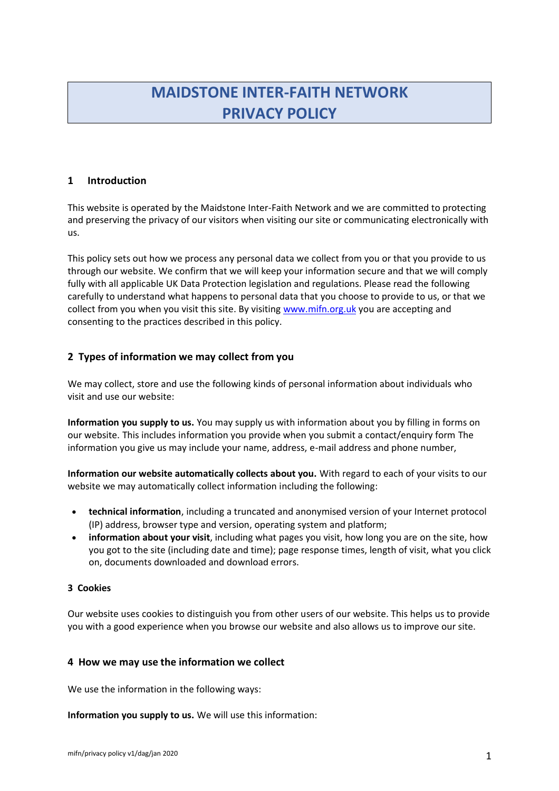# **MAIDSTONE INTER-FAITH NETWORK PRIVACY POLICY**

## **1 Introduction**

This website is operated by the Maidstone Inter-Faith Network and we are committed to protecting and preserving the privacy of our visitors when visiting our site or communicating electronically with us.

This policy sets out how we process any personal data we collect from you or that you provide to us through our website. We confirm that we will keep your information secure and that we will comply fully with all applicable UK Data Protection legislation and regulations. Please read the following carefully to understand what happens to personal data that you choose to provide to us, or that we collect from you when you visit this site. By visiting [www.mifn.org.uk](http://www.mifn.org.uk/) you are accepting and consenting to the practices described in this policy.

## **2 Types of information we may collect from you**

We may collect, store and use the following kinds of personal information about individuals who visit and use our website:

**Information you supply to us.** You may supply us with information about you by filling in forms on our website. This includes information you provide when you submit a contact/enquiry form The information you give us may include your name, address, e-mail address and phone number,

**Information our website automatically collects about you.** With regard to each of your visits to our website we may automatically collect information including the following:

- **technical information**, including a truncated and anonymised version of your Internet protocol (IP) address, browser type and version, operating system and platform;
- **information about your visit**, including what pages you visit, how long you are on the site, how you got to the site (including date and time); page response times, length of visit, what you click on, documents downloaded and download errors.

## **3 Cookies**

Our website uses cookies to distinguish you from other users of our website. This helps us to provide you with a good experience when you browse our website and also allows us to improve our site.

## **4 How we may use the information we collect**

We use the information in the following ways:

**Information you supply to us.** We will use this information: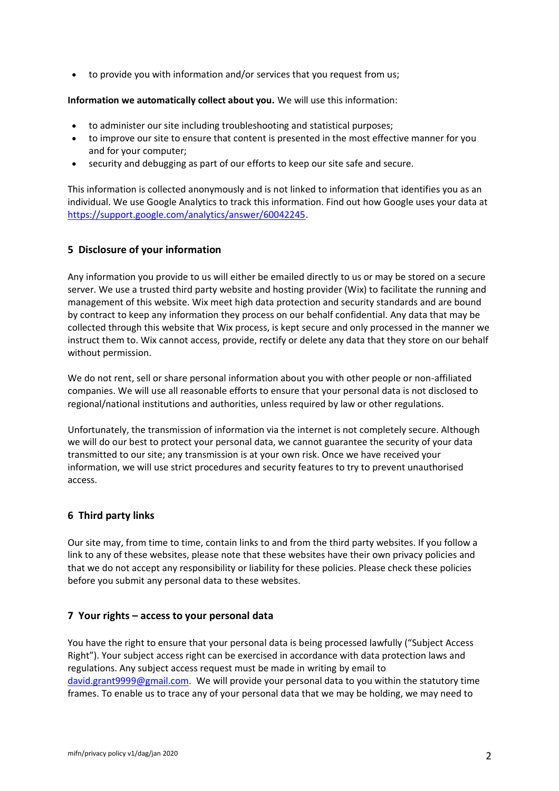• to provide you with information and/or services that you request from us;

**Information we automatically collect about you.** We will use this information:

- to administer our site including troubleshooting and statistical purposes;
- to improve our site to ensure that content is presented in the most effective manner for you and for your computer;
- security and debugging as part of our efforts to keep our site safe and secure.

This information is collected anonymously and is not linked to information that identifies you as an individual. We use Google Analytics to track this information. Find out how Google uses your data at [https://support.google.com/analytics/answer/60042245.](https://support.google.com/analytics/answer/60042245)

## **5 Disclosure of your information**

Any information you provide to us will either be emailed directly to us or may be stored on a secure server. We use a trusted third party website and hosting provider (Wix) to facilitate the running and management of this website. Wix meet high data protection and security standards and are bound by contract to keep any information they process on our behalf confidential. Any data that may be collected through this website that Wix process, is kept secure and only processed in the manner we instruct them to. Wix cannot access, provide, rectify or delete any data that they store on our behalf without permission.

We do not rent, sell or share personal information about you with other people or non-affiliated companies. We will use all reasonable efforts to ensure that your personal data is not disclosed to regional/national institutions and authorities, unless required by law or other regulations.

Unfortunately, the transmission of information via the internet is not completely secure. Although we will do our best to protect your personal data, we cannot guarantee the security of your data transmitted to our site; any transmission is at your own risk. Once we have received your information, we will use strict procedures and security features to try to prevent unauthorised access.

## **6 Third party links**

Our site may, from time to time, contain links to and from the third party websites. If you follow a link to any of these websites, please note that these websites have their own privacy policies and that we do not accept any responsibility or liability for these policies. Please check these policies before you submit any personal data to these websites.

## **7 Your rights – access to your personal data**

You have the right to ensure that your personal data is being processed lawfully ("Subject Access Right"). Your subject access right can be exercised in accordance with data protection laws and regulations. Any subject access request must be made in writing by email to [david.grant9999@gmail.com.](mailto:david.grant9999@gmail.com) We will provide your personal data to you within the statutory time frames. To enable us to trace any of your personal data that we may be holding, we may need to